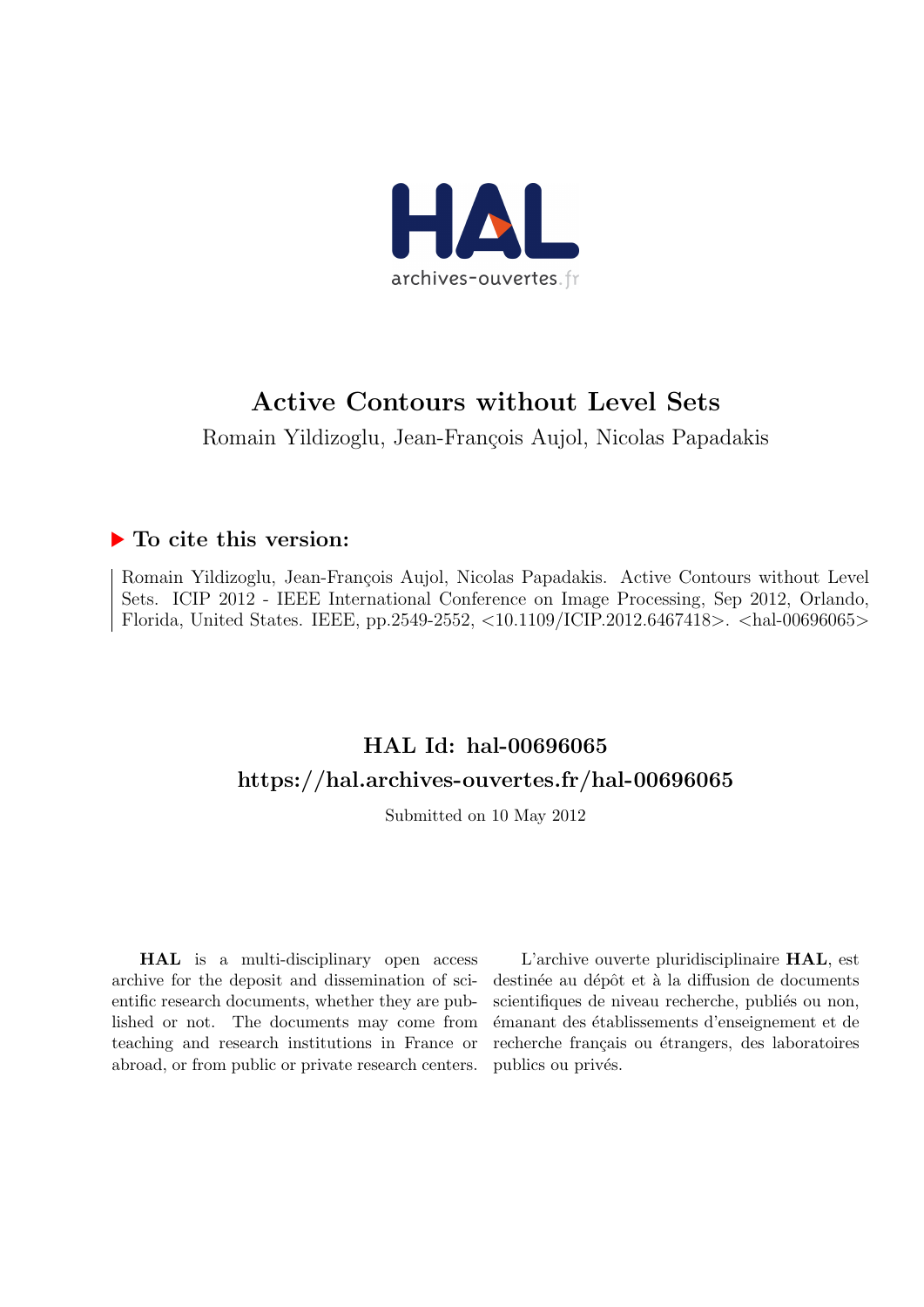

# Active Contours without Level Sets

Romain Yildizoglu, Jean-François Aujol, Nicolas Papadakis

## $\blacktriangleright$  To cite this version:

Romain Yildizoglu, Jean-François Aujol, Nicolas Papadakis. Active Contours without Level Sets. ICIP 2012 - IEEE International Conference on Image Processing, Sep 2012, Orlando, Florida, United States. IEEE, pp.2549-2552, <10.1109/ICIP.2012.6467418>. <hal-00696065>

# HAL Id: hal-00696065 <https://hal.archives-ouvertes.fr/hal-00696065>

Submitted on 10 May 2012

HAL is a multi-disciplinary open access archive for the deposit and dissemination of scientific research documents, whether they are published or not. The documents may come from teaching and research institutions in France or abroad, or from public or private research centers.

L'archive ouverte pluridisciplinaire HAL, est destinée au dépôt et à la diffusion de documents scientifiques de niveau recherche, publiés ou non, ´emanant des ´etablissements d'enseignement et de recherche français ou étrangers, des laboratoires publics ou privés.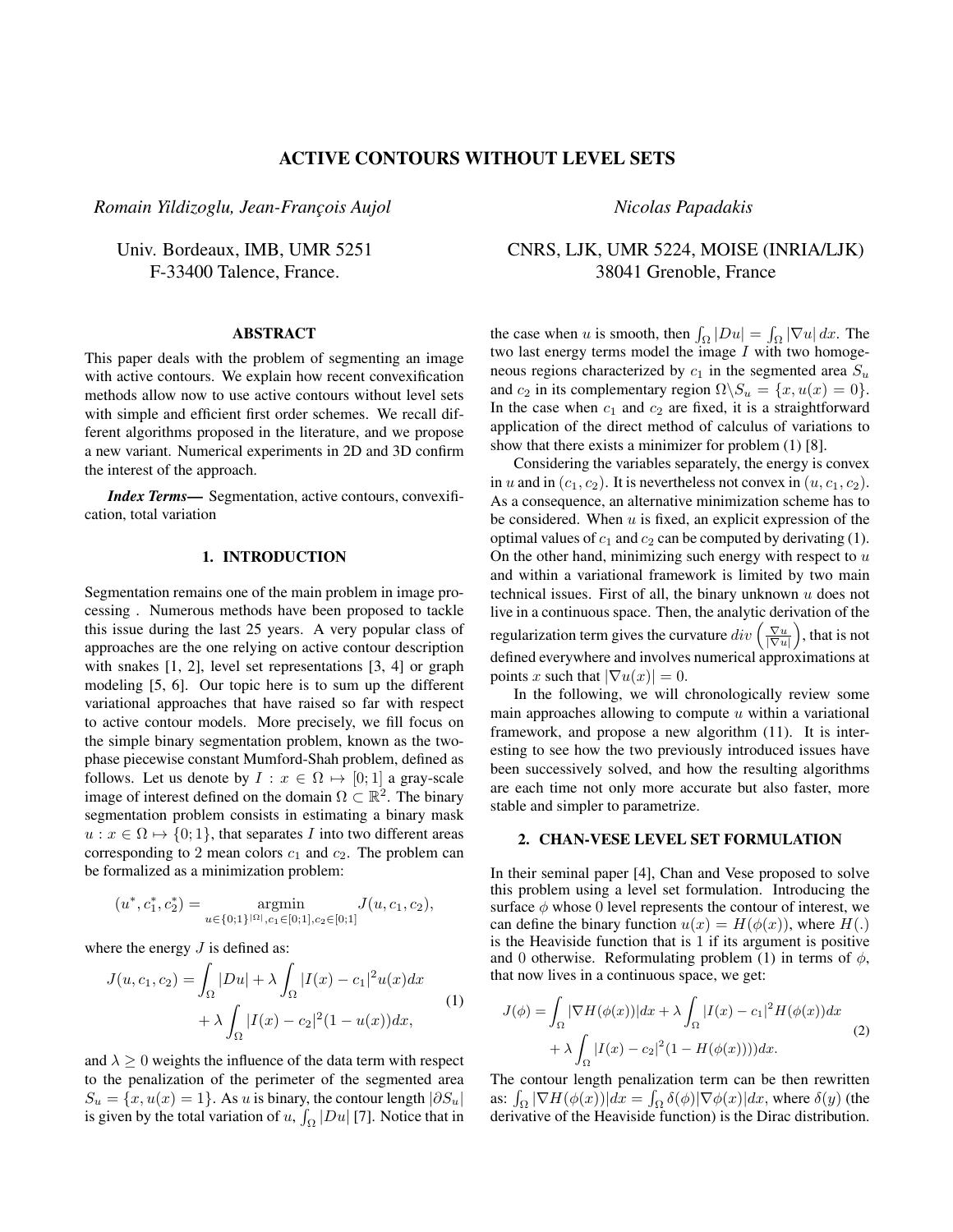### ACTIVE CONTOURS WITHOUT LEVEL SETS

*Romain Yildizoglu, Jean-Franc¸ois Aujol*

Univ. Bordeaux, IMB, UMR 5251 F-33400 Talence, France.

## ABSTRACT

This paper deals with the problem of segmenting an image with active contours. We explain how recent convexification methods allow now to use active contours without level sets with simple and efficient first order schemes. We recall different algorithms proposed in the literature, and we propose a new variant. Numerical experiments in 2D and 3D confirm the interest of the approach.

*Index Terms*— Segmentation, active contours, convexification, total variation

## 1. INTRODUCTION

Segmentation remains one of the main problem in image processing . Numerous methods have been proposed to tackle this issue during the last 25 years. A very popular class of approaches are the one relying on active contour description with snakes [1, 2], level set representations [3, 4] or graph modeling [5, 6]. Our topic here is to sum up the different variational approaches that have raised so far with respect to active contour models. More precisely, we fill focus on the simple binary segmentation problem, known as the twophase piecewise constant Mumford-Shah problem, defined as follows. Let us denote by  $I : x \in \Omega \mapsto [0; 1]$  a gray-scale image of interest defined on the domain  $\Omega \subset \mathbb{R}^2$ . The binary segmentation problem consists in estimating a binary mask  $u : x \in \Omega \mapsto \{0, 1\}$ , that separates I into two different areas corresponding to 2 mean colors  $c_1$  and  $c_2$ . The problem can be formalized as a minimization problem:

$$
(u^*, c_1^*, c_2^*) = \underset{u \in \{0;1\}^{|\Omega|}, c_1 \in [0;1], c_2 \in [0;1]}{\operatorname{argmin}} J(u, c_1, c_2),
$$

where the energy  $J$  is defined as:

$$
J(u, c_1, c_2) = \int_{\Omega} |Du| + \lambda \int_{\Omega} |I(x) - c_1|^2 u(x) dx
$$
  
+  $\lambda \int_{\Omega} |I(x) - c_2|^2 (1 - u(x)) dx,$  (1)

and  $\lambda \geq 0$  weights the influence of the data term with respect to the penalization of the perimeter of the segmented area  $S_u = \{x, u(x) = 1\}$ . As u is binary, the contour length  $|\partial S_u|$ is given by the total variation of u,  $\int_{\Omega} |Du|$  [7]. Notice that in

*Nicolas Papadakis*

## CNRS, LJK, UMR 5224, MOISE (INRIA/LJK) 38041 Grenoble, France

the case when u is smooth, then  $\int_{\Omega} |Du| = \int_{\Omega} |\nabla u| dx$ . The two last energy terms model the image  $I$  with two homogeneous regions characterized by  $c_1$  in the segmented area  $S_u$ and  $c_2$  in its complementary region  $\Omega \backslash S_u = \{x, u(x) = 0\}.$ In the case when  $c_1$  and  $c_2$  are fixed, it is a straightforward application of the direct method of calculus of variations to show that there exists a minimizer for problem (1) [8].

Considering the variables separately, the energy is convex in u and in  $(c_1, c_2)$ . It is nevertheless not convex in  $(u, c_1, c_2)$ . As a consequence, an alternative minimization scheme has to be considered. When  $u$  is fixed, an explicit expression of the optimal values of  $c_1$  and  $c_2$  can be computed by derivating (1). On the other hand, minimizing such energy with respect to  $u$ and within a variational framework is limited by two main technical issues. First of all, the binary unknown  $u$  does not live in a continuous space. Then, the analytic derivation of the regularization term gives the curvature  $div\left(\frac{\nabla u}{|\nabla u|}\right)$ , that is not defined everywhere and involves numerical approximations at points x such that  $|\nabla u(x)| = 0$ .

In the following, we will chronologically review some main approaches allowing to compute  $u$  within a variational framework, and propose a new algorithm (11). It is interesting to see how the two previously introduced issues have been successively solved, and how the resulting algorithms are each time not only more accurate but also faster, more stable and simpler to parametrize.

## 2. CHAN-VESE LEVEL SET FORMULATION

In their seminal paper [4], Chan and Vese proposed to solve this problem using a level set formulation. Introducing the surface  $\phi$  whose 0 level represents the contour of interest, we can define the binary function  $u(x) = H(\phi(x))$ , where  $H(.)$ is the Heaviside function that is 1 if its argument is positive and 0 otherwise. Reformulating problem (1) in terms of  $\phi$ , that now lives in a continuous space, we get:

$$
J(\phi) = \int_{\Omega} |\nabla H(\phi(x))| dx + \lambda \int_{\Omega} |I(x) - c_1|^2 H(\phi(x)) dx
$$
  
+  $\lambda \int_{\Omega} |I(x) - c_2|^2 (1 - H(\phi(x)))) dx.$  (2)

The contour length penalization term can be then rewritten as:  $\int_{\Omega} |\nabla H(\phi(x))| dx = \int_{\Omega} \delta(\phi) |\nabla \phi(x)| dx$ , where  $\delta(y)$  (the derivative of the Heaviside function) is the Dirac distribution.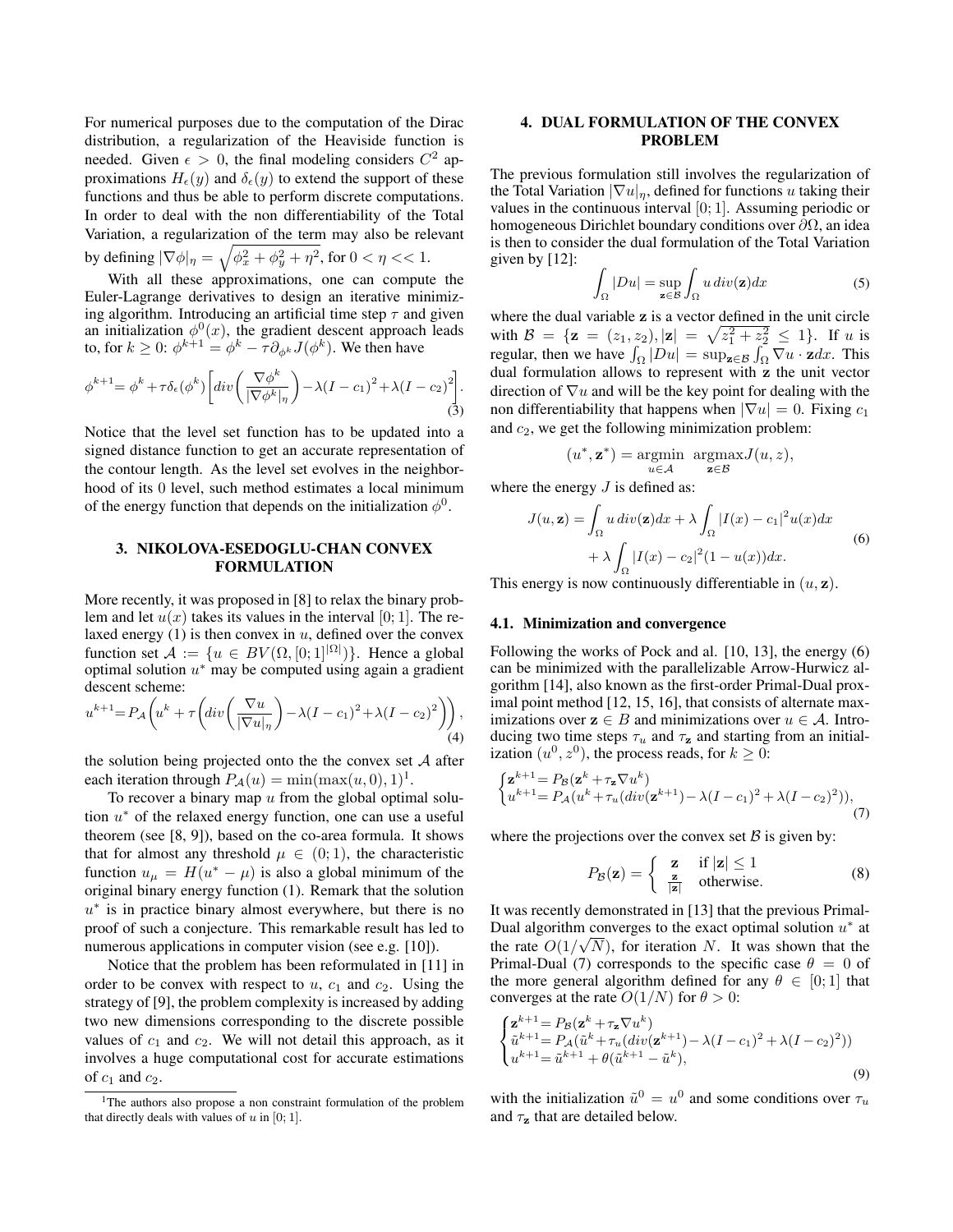For numerical purposes due to the computation of the Dirac distribution, a regularization of the Heaviside function is needed. Given  $\epsilon > 0$ , the final modeling considers  $C^2$  approximations  $H_{\epsilon}(y)$  and  $\delta_{\epsilon}(y)$  to extend the support of these functions and thus be able to perform discrete computations. In order to deal with the non differentiability of the Total Variation, a regularization of the term may also be relevant by defining  $|\nabla \phi|_{\eta} = \sqrt{\phi_x^2 + \phi_y^2 + \eta^2}$ , for  $0 < \eta < 1$ .

With all these approximations, one can compute the Euler-Lagrange derivatives to design an iterative minimizing algorithm. Introducing an artificial time step  $\tau$  and given an initialization  $\phi^0(x)$ , the gradient descent approach leads to, for  $k \geq 0$ :  $\phi^{k+1} = \phi^k - \tau \partial_{\phi^k} J(\phi^k)$ . We then have

$$
\phi^{k+1} = \phi^k + \tau \delta_{\epsilon}(\phi^k) \left[ div \left( \frac{\nabla \phi^k}{|\nabla \phi^k|_{\eta}} \right) - \lambda (I - c_1)^2 + \lambda (I - c_2)^2 \right].
$$
\n(3)

Notice that the level set function has to be updated into a signed distance function to get an accurate representation of the contour length. As the level set evolves in the neighborhood of its 0 level, such method estimates a local minimum of the energy function that depends on the initialization  $\phi^0$ .

#### 3. NIKOLOVA-ESEDOGLU-CHAN CONVEX FORMULATION

More recently, it was proposed in [8] to relax the binary problem and let  $u(x)$  takes its values in the interval [0; 1]. The relaxed energy  $(1)$  is then convex in  $u$ , defined over the convex function set  $\mathcal{A} := \{u \in BV(\Omega, [0, 1]^{|\Omega|})\}$ . Hence a global optimal solution  $u^*$  may be computed using again a gradient descent scheme:

$$
u^{k+1} = P_{\mathcal{A}}\left(u^k + \tau \left(\operatorname{div}\left(\frac{\nabla u}{|\nabla u|_{\eta}}\right) - \lambda (I - c_1)^2 + \lambda (I - c_2)^2\right)\right),\tag{4}
$$

the solution being projected onto the the convex set  $A$  after each iteration through  $P_A(u) = \min(\max(u, 0), 1)^1$ .

To recover a binary map  $u$  from the global optimal solution  $u^*$  of the relaxed energy function, one can use a useful theorem (see [8, 9]), based on the co-area formula. It shows that for almost any threshold  $\mu \in (0,1)$ , the characteristic function  $u_{\mu} = H(u^* - \mu)$  is also a global minimum of the original binary energy function (1). Remark that the solution  $u^*$  is in practice binary almost everywhere, but there is no proof of such a conjecture. This remarkable result has led to numerous applications in computer vision (see e.g. [10]).

Notice that the problem has been reformulated in [11] in order to be convex with respect to  $u$ ,  $c_1$  and  $c_2$ . Using the strategy of [9], the problem complexity is increased by adding two new dimensions corresponding to the discrete possible values of  $c_1$  and  $c_2$ . We will not detail this approach, as it involves a huge computational cost for accurate estimations of  $c_1$  and  $c_2$ .

## 4. DUAL FORMULATION OF THE CONVEX PROBLEM

The previous formulation still involves the regularization of the Total Variation  $|\nabla u|_n$ , defined for functions u taking their values in the continuous interval [0; 1]. Assuming periodic or homogeneous Dirichlet boundary conditions over ∂Ω, an idea is then to consider the dual formulation of the Total Variation given by [12]:

$$
\int_{\Omega} |Du| = \sup_{\mathbf{z} \in \mathcal{B}} \int_{\Omega} u \, div(\mathbf{z}) dx \tag{5}
$$

where the dual variable z is a vector defined in the unit circle with  $\mathcal{B} = {\mathbf{z} = (z_1, z_2), |\mathbf{z}| = \sqrt{z_1^2 + z_2^2} \leq 1}.$  If u is regular, then we have  $\int_{\Omega} |Du| = \sup_{\mathbf{z} \in \mathcal{B}} \int_{\Omega} \nabla u \cdot \mathbf{z} dx$ . This dual formulation allows to represent with z the unit vector direction of  $\nabla u$  and will be the key point for dealing with the non differentiability that happens when  $|\nabla u| = 0$ . Fixing  $c_1$ and  $c_2$ , we get the following minimization problem:

$$
(u^*,\mathbf{z}^*) = \underset{u \in \mathcal{A}}{\operatorname{argmin}} \ \ \underset{\mathbf{z} \in \mathcal{B}}{\operatorname{argmax}} J(u,z),
$$

where the energy  $J$  is defined as:

$$
J(u, \mathbf{z}) = \int_{\Omega} u \, div(\mathbf{z}) dx + \lambda \int_{\Omega} |I(x) - c_1|^2 u(x) dx
$$
  
+  $\lambda \int_{\Omega} |I(x) - c_2|^2 (1 - u(x)) dx.$  (6)

This energy is now continuously differentiable in  $(u, z)$ .

#### 4.1. Minimization and convergence

Following the works of Pock and al. [10, 13], the energy (6) can be minimized with the parallelizable Arrow-Hurwicz algorithm [14], also known as the first-order Primal-Dual proximal point method [12, 15, 16], that consists of alternate maximizations over  $z \in B$  and minimizations over  $u \in A$ . Introducing two time steps  $\tau_u$  and  $\tau_z$  and starting from an initialization  $(u^0, z^0)$ , the process reads, for  $k \geq 0$ :

$$
\begin{cases} \mathbf{z}^{k+1} = P_{\mathcal{B}}(\mathbf{z}^k + \tau_{\mathbf{z}} \nabla u^k) \\ u^{k+1} = P_{\mathcal{A}}(u^k + \tau_u(div(\mathbf{z}^{k+1}) - \lambda(I - c_1)^2 + \lambda(I - c_2)^2)), \end{cases} \tag{7}
$$

where the projections over the convex set  $\beta$  is given by:

$$
P_{\mathcal{B}}(\mathbf{z}) = \begin{cases} \mathbf{z} & \text{if } |\mathbf{z}| \le 1 \\ \frac{\mathbf{z}}{|\mathbf{z}|} & \text{otherwise.} \end{cases}
$$
 (8)

It was recently demonstrated in [13] that the previous Primal-Dual algorithm converges to the exact optimal solution  $u^*$  at the rate  $O(1/\sqrt{N})$ , for iteration N. It was shown that the Primal-Dual (7) corresponds to the specific case  $\theta = 0$  of the more general algorithm defined for any  $\theta \in [0; 1]$  that converges at the rate  $O(1/N)$  for  $\theta > 0$ :

$$
\begin{cases}\n\mathbf{z}^{k+1} = P_{\mathcal{B}}(\mathbf{z}^k + \tau_{\mathbf{z}} \nabla u^k) \\
\tilde{u}^{k+1} = P_{\mathcal{A}}(\tilde{u}^k + \tau_u (div(\mathbf{z}^{k+1}) - \lambda (I - c_1)^2 + \lambda (I - c_2)^2)) \\
u^{k+1} = \tilde{u}^{k+1} + \theta (\tilde{u}^{k+1} - \tilde{u}^k),\n\end{cases} \tag{9}
$$

with the initialization  $\tilde{u}^0 = u^0$  and some conditions over  $\tau_u$ and  $\tau_z$  that are detailed below.

<sup>&</sup>lt;sup>1</sup>The authors also propose a non constraint formulation of the problem that directly deals with values of  $u$  in [0; 1].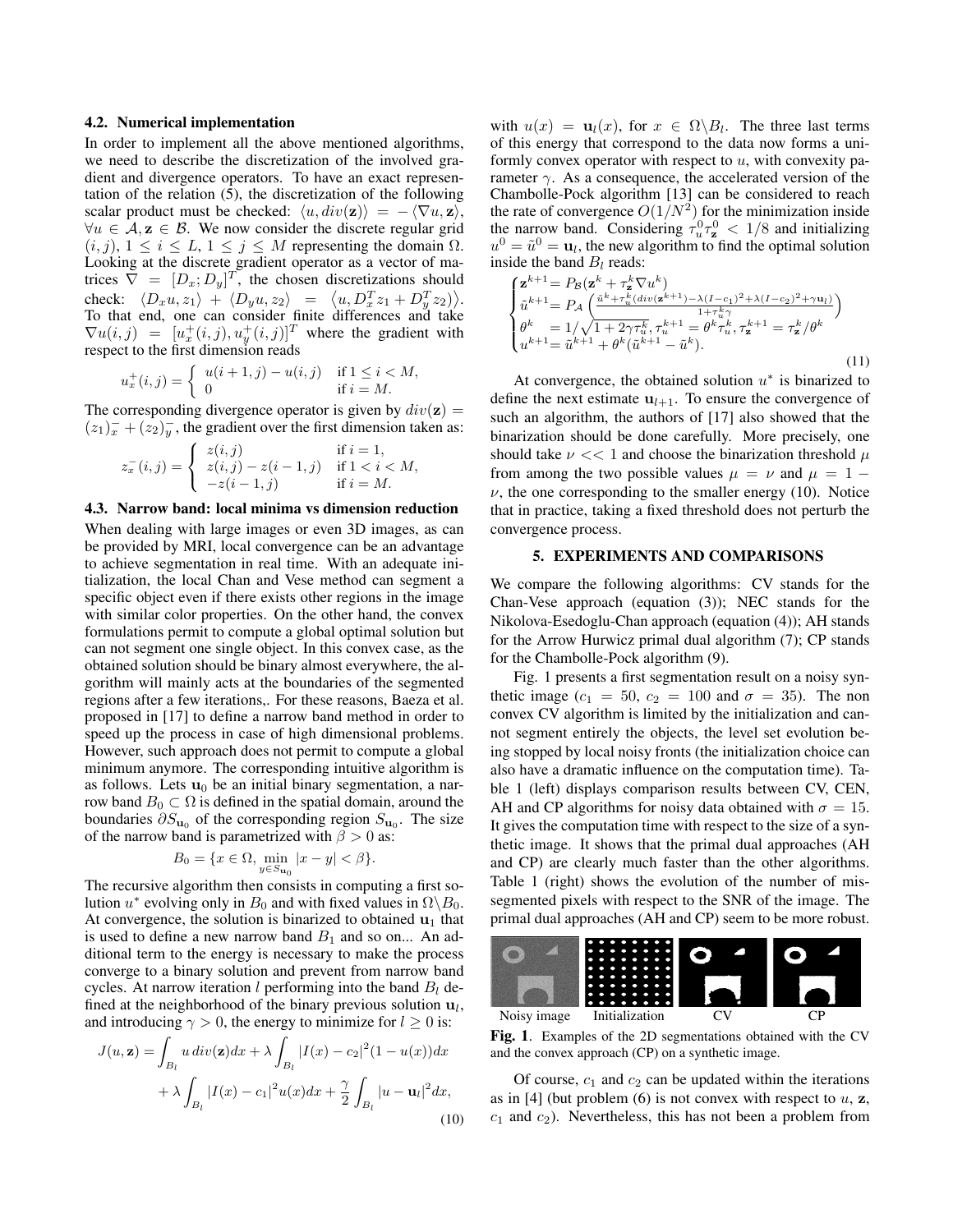#### 4.2. Numerical implementation

In order to implement all the above mentioned algorithms, we need to describe the discretization of the involved gradient and divergence operators. To have an exact representation of the relation (5), the discretization of the following scalar product must be checked:  $\langle u, div(\mathbf{z}) \rangle = - \langle \nabla u, \mathbf{z} \rangle$ ,  $\forall u \in A$ ,  $z \in B$ . We now consider the discrete regular grid  $(i, j), 1 \leq i \leq L, 1 \leq j \leq M$  representing the domain  $\Omega$ . Looking at the discrete gradient operator as a vector of matrices  $\nabla = [D_x; D_y]^T$ , the chosen discretizations should check:  $\langle D_x u, z_1 \rangle + \langle D_y u, z_2 \rangle = \langle u, D_x^T z_1 + D_y^T z_2 \rangle$ . To that end, one can consider finite differences and take  $\nabla u(i, j) = [u_x^+(i, j), u_y^+(i, j)]^T$  where the gradient with respect to the first dimension reads

$$
u_x^+(i,j) = \begin{cases} u(i+1,j) - u(i,j) & \text{if } 1 \le i < M, \\ 0 & \text{if } i = M. \end{cases}
$$

The corresponding divergence operator is given by  $div(\mathbf{z}) =$  $(z_1)_x^- + (z_2)_y^-$ , the gradient over the first dimension taken as:

$$
z_x^-(i,j) = \begin{cases} z(i,j) & \text{if } i = 1, \\ z(i,j) - z(i-1,j) & \text{if } 1 < i < M, \\ -z(i-1,j) & \text{if } i = M. \end{cases}
$$

#### 4.3. Narrow band: local minima vs dimension reduction

When dealing with large images or even 3D images, as can be provided by MRI, local convergence can be an advantage to achieve segmentation in real time. With an adequate initialization, the local Chan and Vese method can segment a specific object even if there exists other regions in the image with similar color properties. On the other hand, the convex formulations permit to compute a global optimal solution but can not segment one single object. In this convex case, as the obtained solution should be binary almost everywhere, the algorithm will mainly acts at the boundaries of the segmented regions after a few iterations,. For these reasons, Baeza et al. proposed in [17] to define a narrow band method in order to speed up the process in case of high dimensional problems. However, such approach does not permit to compute a global minimum anymore. The corresponding intuitive algorithm is as follows. Lets  $\mathbf{u}_0$  be an initial binary segmentation, a narrow band  $B_0 \subset \Omega$  is defined in the spatial domain, around the boundaries  $\partial S_{\mathbf{u}_0}$  of the corresponding region  $S_{\mathbf{u}_0}$ . The size of the narrow band is parametrized with  $\beta > 0$  as:

$$
B_0 = \{ x \in \Omega, \min_{y \in S_{\mathbf{u}_0}} |x - y| < \beta \}.
$$

The recursive algorithm then consists in computing a first solution  $u^*$  evolving only in  $B_0$  and with fixed values in  $\Omega \backslash B_0$ . At convergence, the solution is binarized to obtained  $\mathbf{u}_1$  that is used to define a new narrow band  $B_1$  and so on... An additional term to the energy is necessary to make the process converge to a binary solution and prevent from narrow band cycles. At narrow iteration l performing into the band  $B_l$  defined at the neighborhood of the binary previous solution  $\mathbf{u}_l$ , and introducing  $\gamma > 0$ , the energy to minimize for  $l \geq 0$  is:

$$
J(u, \mathbf{z}) = \int_{B_l} u \operatorname{div}(\mathbf{z}) dx + \lambda \int_{B_l} |I(x) - c_2|^2 (1 - u(x)) dx
$$
  
+ 
$$
\lambda \int_{B_l} |I(x) - c_1|^2 u(x) dx + \frac{\gamma}{2} \int_{B_l} |u - \mathbf{u}_l|^2 dx,
$$
  
(10)

with  $u(x) = \mathbf{u}_l(x)$ , for  $x \in \Omega \backslash B_l$ . The three last terms of this energy that correspond to the data now forms a uniformly convex operator with respect to  $u$ , with convexity parameter  $\gamma$ . As a consequence, the accelerated version of the Chambolle-Pock algorithm [13] can be considered to reach the rate of convergence  $O(1/N^2)$  for the minimization inside the narrow band. Considering  $\tau_u^0 \tau_z^0 < 1/8$  and initializing  $u^0 = \tilde{u}^0 = \mathbf{u}_l$ , the new algorithm to find the optimal solution inside the band  $B_l$  reads:

$$
\begin{cases}\n\mathbf{z}^{k+1} = P_{\mathcal{B}}(\mathbf{z}^{k} + \tau_{\mathbf{z}}^{k} \nabla u^{k}) \\
\tilde{u}^{k+1} = P_{\mathcal{A}}\left(\frac{\tilde{u}^{k} + \tau_{u}^{k}(div(\mathbf{z}^{k+1}) - \lambda(I - c_{1})^{2} + \lambda(I - c_{2})^{2} + \gamma \mathbf{u}_{l})}{1 + \tau_{u}^{k} \gamma}\right) \\
\theta^{k} = 1/\sqrt{1 + 2\gamma \tau_{u}^{k}}, \tau_{u}^{k+1} = \theta^{k} \tau_{u}^{k}, \tau_{\mathbf{z}}^{k+1} = \tau_{\mathbf{z}}^{k} / \theta^{k} \\
u^{k+1} = \tilde{u}^{k+1} + \theta^{k}(\tilde{u}^{k+1} - \tilde{u}^{k}).\n\end{cases} (11)
$$

At convergence, the obtained solution  $u^*$  is binarized to define the next estimate  $u_{l+1}$ . To ensure the convergence of such an algorithm, the authors of [17] also showed that the binarization should be done carefully. More precisely, one should take  $\nu \ll 1$  and choose the binarization threshold  $\mu$ from among the two possible values  $\mu = \nu$  and  $\mu = 1$  –  $\nu$ , the one corresponding to the smaller energy (10). Notice that in practice, taking a fixed threshold does not perturb the convergence process.

#### 5. EXPERIMENTS AND COMPARISONS

We compare the following algorithms: CV stands for the Chan-Vese approach (equation (3)); NEC stands for the Nikolova-Esedoglu-Chan approach (equation (4)); AH stands for the Arrow Hurwicz primal dual algorithm (7); CP stands for the Chambolle-Pock algorithm (9).

Fig. 1 presents a first segmentation result on a noisy synthetic image ( $c_1 = 50$ ,  $c_2 = 100$  and  $\sigma = 35$ ). The non convex CV algorithm is limited by the initialization and cannot segment entirely the objects, the level set evolution being stopped by local noisy fronts (the initialization choice can also have a dramatic influence on the computation time). Table 1 (left) displays comparison results between CV, CEN, AH and CP algorithms for noisy data obtained with  $\sigma = 15$ . It gives the computation time with respect to the size of a synthetic image. It shows that the primal dual approaches (AH and CP) are clearly much faster than the other algorithms. Table 1 (right) shows the evolution of the number of missegmented pixels with respect to the SNR of the image. The primal dual approaches (AH and CP) seem to be more robust.



Fig. 1. Examples of the 2D segmentations obtained with the CV and the convex approach (CP) on a synthetic image.

Of course,  $c_1$  and  $c_2$  can be updated within the iterations as in [4] (but problem  $(6)$  is not convex with respect to  $u$ ,  $z$ ,  $c_1$  and  $c_2$ ). Nevertheless, this has not been a problem from